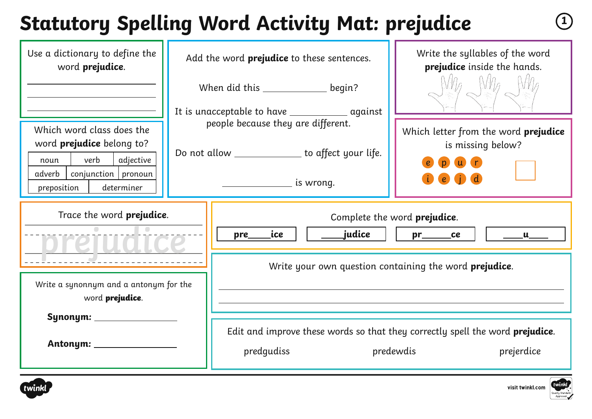# **Statutory Spelling Word Activity Mat: prejudice <sup>1</sup>**

| Use a dictionary to define the<br>word prejudice.                                                                                                            |     | Add the word <b>prejudice</b> to these sentences.                                                                                                                    | Write the syllables of the word<br>prejudice inside the hands.                                                   |
|--------------------------------------------------------------------------------------------------------------------------------------------------------------|-----|----------------------------------------------------------------------------------------------------------------------------------------------------------------------|------------------------------------------------------------------------------------------------------------------|
| Which word class does the<br>word <b>prejudice</b> belong to?<br>verb<br>adjective<br>noun<br>conjunction   pronoun<br>adverb  <br>preposition<br>determiner |     | When did this _______________ begin?<br>people because they are different.<br>Do not allow ______________ to affect your life.<br><u>_________________</u> is wrong. | Which letter from the word prejudice<br>is missing below?                                                        |
| Trace the word <b>prejudice</b> .                                                                                                                            | pre | Complete the word prejudice.<br>_judice<br>ice<br>ce<br>$\mathbf{u}$<br>Write your own question containing the word prejudice.                                       |                                                                                                                  |
| Write a synonnym and a antonym for the<br>word prejudice.<br>Synonym: ______________                                                                         |     | predgudiss                                                                                                                                                           | Edit and improve these words so that they correctly spell the word <b>prejudice</b> .<br>predewdis<br>prejerdice |



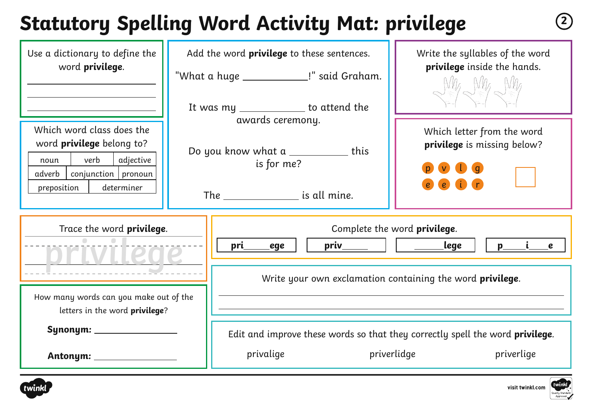## **Statutory Spelling Word Activity Mat: privilege <sup>2</sup>**

| Use a dictionary to define the<br>word privilege.                                                                                                          | Add the word <b>privilege</b> to these sentences.<br>"What a huge _______________!" said Graham.               |                                                                                                                                                                                                                                                                                                                                                                                    | Write the syllables of the word<br>privilege inside the hands.<br>$N_{\ell}$ $N_{\ell}$ $N_{\ell}$  |  |
|------------------------------------------------------------------------------------------------------------------------------------------------------------|----------------------------------------------------------------------------------------------------------------|------------------------------------------------------------------------------------------------------------------------------------------------------------------------------------------------------------------------------------------------------------------------------------------------------------------------------------------------------------------------------------|-----------------------------------------------------------------------------------------------------|--|
| Which word class does the<br>word <b>privilege</b> belong to?<br>verb<br>adjective<br>noun<br>conjunction   pronoun<br>adverb<br>determiner<br>preposition | It was my ____________ to attend the<br>awards ceremony.<br>Do you know what a ____________ this<br>is for me? |                                                                                                                                                                                                                                                                                                                                                                                    | Which letter from the word<br>privilege is missing below?<br>$\epsilon$                             |  |
| Trace the word <b>privilege</b> .                                                                                                                          | pri<br>ege                                                                                                     | Complete the word <b>privilege</b> .<br>$priv$ $\qquad$ $\qquad$ $\qquad$ $\qquad$ $\qquad$ $\qquad$ $\qquad$ $\qquad$ $\qquad$ $\qquad$ $\qquad$ $\qquad$ $\qquad$ $\qquad$ $\qquad$ $\qquad$ $\qquad$ $\qquad$ $\qquad$ $\qquad$ $\qquad$ $\qquad$ $\qquad$ $\qquad$ $\qquad$ $\qquad$ $\qquad$ $\qquad$ $\qquad$ $\qquad$ $\qquad$ $\qquad$ $\qquad$ $\qquad$ $\qquad$ $\qquad$ | _lege<br>$p_{-}$<br>$\epsilon$                                                                      |  |
| How many words can you make out of the<br>letters in the word <b>privilege</b> ?                                                                           |                                                                                                                | Write your own exclamation containing the word privilege.                                                                                                                                                                                                                                                                                                                          |                                                                                                     |  |
|                                                                                                                                                            | privalige                                                                                                      | priverlidge                                                                                                                                                                                                                                                                                                                                                                        | Edit and improve these words so that they correctly spell the word <b>privilege</b> .<br>priverlige |  |



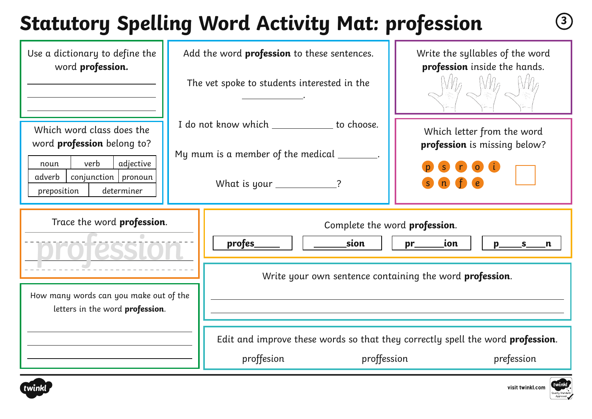# **Statutory Spelling Word Activity Mat: profession <sup>3</sup>**

| Use a dictionary to define the<br>word profession.                                                                                                     | Add the word <b>profession</b> to these sentences.<br>The vet spoke to students interested in the |                                                                                                                          | Write the syllables of the word<br>profession inside the hands. |  |
|--------------------------------------------------------------------------------------------------------------------------------------------------------|---------------------------------------------------------------------------------------------------|--------------------------------------------------------------------------------------------------------------------------|-----------------------------------------------------------------|--|
| Which word class does the<br>word profession belong to?<br>verb<br>adjective<br>noun<br>$conjunction$   pronoun<br>adverb<br>determiner<br>preposition |                                                                                                   | I do not know which _____________ to choose.<br>My mum is a member of the medical _______.<br>What is your ____________? | Which letter from the word<br>profession is missing below?      |  |
| Trace the word profession.<br>How many words can you make out of the<br>letters in the word profession.                                                |                                                                                                   | Complete the word profession.<br>profes_<br>sion<br>ion<br>$pr_{-}$<br>$p_{-}$<br>$S_{n}$ n                              |                                                                 |  |
|                                                                                                                                                        |                                                                                                   | Write your own sentence containing the word profession.                                                                  |                                                                 |  |
|                                                                                                                                                        |                                                                                                   | Edit and improve these words so that they correctly spell the word <b>profession</b> .<br>proffession<br>proffesion      | prefession                                                      |  |



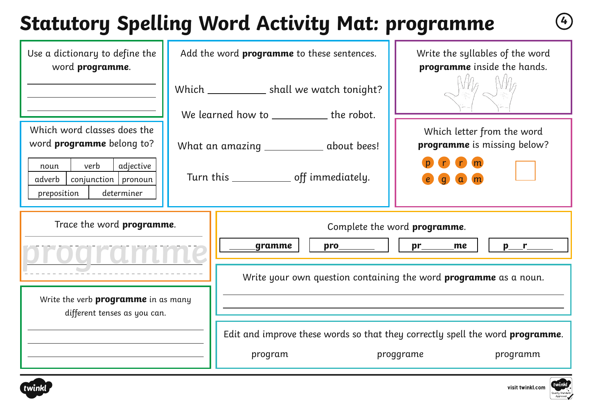# **Statutory Spelling Word Activity Mat: programme <sup>4</sup>**

| Use a dictionary to define the<br>word programme.                                                                             | Add the word programme to these sentences.<br>Which ______________ shall we watch tonight? |                                                                         | Write the syllables of the word<br>programme inside the hands.                                                 |  |  |
|-------------------------------------------------------------------------------------------------------------------------------|--------------------------------------------------------------------------------------------|-------------------------------------------------------------------------|----------------------------------------------------------------------------------------------------------------|--|--|
| Which word classes does the                                                                                                   | We learned how to _____________ the robot.                                                 |                                                                         | Which letter from the word                                                                                     |  |  |
| word <b>programme</b> belong to?<br>verb<br>adjective<br>noun<br>$conjunction$ pronoun<br>adverb<br>preposition<br>determiner | What an amazing _____________ about bees!<br>Turn this _____________ off immediately.      |                                                                         | programme is missing below?<br>n <sub>m</sub>                                                                  |  |  |
| Trace the word programme.                                                                                                     | gramme                                                                                     |                                                                         | Complete the word programme.<br>$\mathsf{pro}$     $\mathsf{pr}$ me                                            |  |  |
| Write the verb <b>programme</b> in as many<br>different tenses as you can.                                                    |                                                                                            | Write your own question containing the word <b>programme</b> as a noun. |                                                                                                                |  |  |
|                                                                                                                               | program                                                                                    |                                                                         | Edit and improve these words so that they correctly spell the word <b>programme</b> .<br>programm<br>proggrame |  |  |